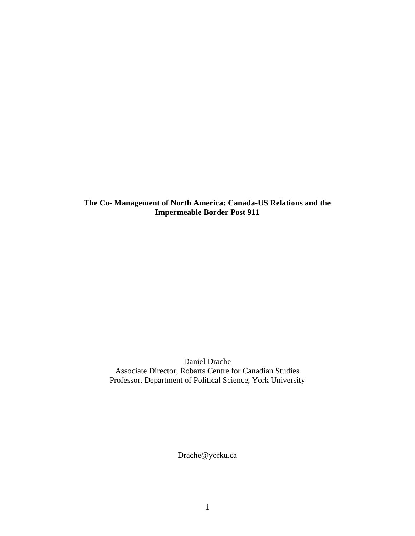**The Co- Management of North America: Canada-US Relations and the Impermeable Border Post 911** 

> Daniel Drache Associate Director, Robarts Centre for Canadian Studies Professor, Department of Political Science, York University

> > Drache@yorku.ca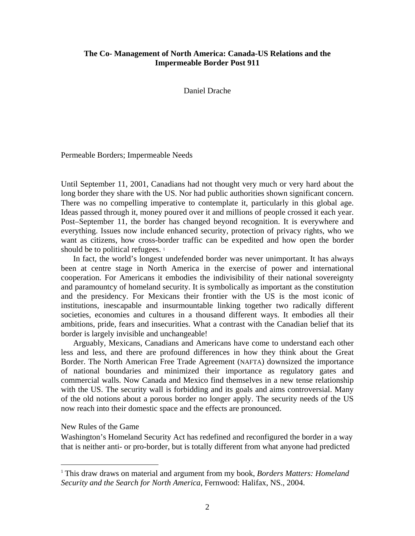# **The Co- Management of North America: Canada-US Relations and the Impermeable Border Post 911**

Daniel Drache

Permeable Borders; Impermeable Needs

Until September 11, 2001, Canadians had not thought very much or very hard about the long border they share with the US. Nor had public authorities shown significant concern. There was no compelling imperative to contemplate it, particularly in this global age. Ideas passed through it, money poured over it and millions of people crossed it each year. Post–September 11, the border has changed beyond recognition. It is everywhere and everything. Issues now include enhanced security, protection of privacy rights, who we want as citizens, how cross-border traffic can be expedited and how open the border should be to political refugees.<sup>[1](#page-1-0)</sup>

 In fact, the world's longest undefended border was never unimportant. It has always been at centre stage in North America in the exercise of power and international cooperation. For Americans it embodies the indivisibility of their national sovereignty and paramountcy of homeland security. It is symbolically as important as the constitution and the presidency. For Mexicans their frontier with the US is the most iconic of institutions, inescapable and insurmountable linking together two radically different societies, economies and cultures in a thousand different ways. It embodies all their ambitions, pride, fears and insecurities. What a contrast with the Canadian belief that its border is largely invisible and unchangeable!

 Arguably, Mexicans, Canadians and Americans have come to understand each other less and less, and there are profound differences in how they think about the Great Border. The North American Free Trade Agreement (NAFTA) downsized the importance of national boundaries and minimized their importance as regulatory gates and commercial walls. Now Canada and Mexico find themselves in a new tense relationship with the US. The security wall is forbidding and its goals and aims controversial. Many of the old notions about a porous border no longer apply. The security needs of the US now reach into their domestic space and the effects are pronounced.

New Rules of the Game

 $\overline{a}$ 

Washington's Homeland Security Act has redefined and reconfigured the border in a way that is neither anti- or pro-border, but is totally different from what anyone had predicted

<span id="page-1-0"></span><sup>1</sup> This draw draws on material and argument from my book, *Borders Matters: Homeland Security and the Search for North America*, Fernwood: Halifax, NS., 2004.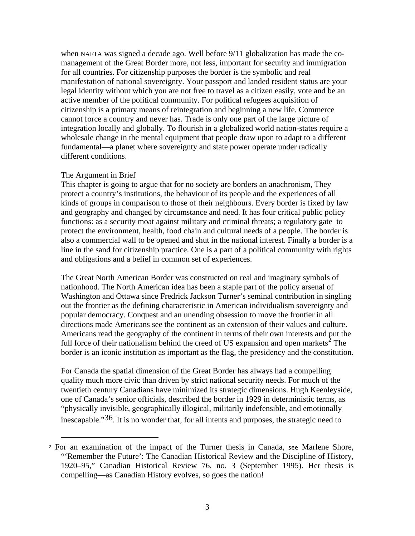when NAFTA was signed a decade ago. Well before 9/11 globalization has made the comanagement of the Great Border more, not less, important for security and immigration for all countries. For citizenship purposes the border is the symbolic and real manifestation of national sovereignty. Your passport and landed resident status are your legal identity without which you are not free to travel as a citizen easily, vote and be an active member of the political community. For political refugees acquisition of citizenship is a primary means of reintegration and beginning a new life. Commerce cannot force a country and never has. Trade is only one part of the large picture of integration locally and globally. To flourish in a globalized world nation-states require a wholesale change in the mental equipment that people draw upon to adapt to a different fundamental—a planet where sovereignty and state power operate under radically different conditions.

### The Argument in Brief

 $\overline{a}$ 

This chapter is going to argue that for no society are borders an anachronism, They protect a country's institutions, the behaviour of its people and the experiences of all kinds of groups in comparison to those of their neighbours. Every border is fixed by law and geography and changed by circumstance and need. It has four critical public policy functions: as a security moat against military and criminal threats; a regulatory gate to protect the environment, health, food chain and cultural needs of a people. The border is also a commercial wall to be opened and shut in the national interest. Finally a border is a line in the sand for citizenship practice. One is a part of a political community with rights and obligations and a belief in common set of experiences.

The Great North American Border was constructed on real and imaginary symbols of nationhood. The North American idea has been a staple part of the policy arsenal of Washington and Ottawa since Fredrick Jackson Turner's seminal contribution in singling out the frontier as the defining characteristic in American individualism sovereignty and popular democracy. Conquest and an unending obsession to move the frontier in all directions made Americans see the continent as an extension of their values and culture. Americans read the geography of the continent in terms of their own interests and put the full force of their nationalism behind the creed of US expansion and open markets<sup>[2](#page-2-0)</sup> The border is an iconic institution as important as the flag, the presidency and the constitution.

For Canada the spatial dimension of the Great Border has always had a compelling quality much more civic than driven by strict national security needs. For much of the twentieth century Canadians have minimized its strategic dimensions. Hugh Keenleyside, one of Canada's senior officials, described the border in 1929 in deterministic terms, as "physically invisible, geographically illogical, militarily indefensible, and emotionally inescapable."36. It is no wonder that, for all intents and purposes, the strategic need to

<span id="page-2-0"></span><sup>2</sup> For an examination of the impact of the Turner thesis in Canada, see Marlene Shore, "'Remember the Future': The Canadian Historical Review and the Discipline of History, 1920–95," Canadian Historical Review 76, no. 3 (September 1995). Her thesis is compelling—as Canadian History evolves, so goes the nation!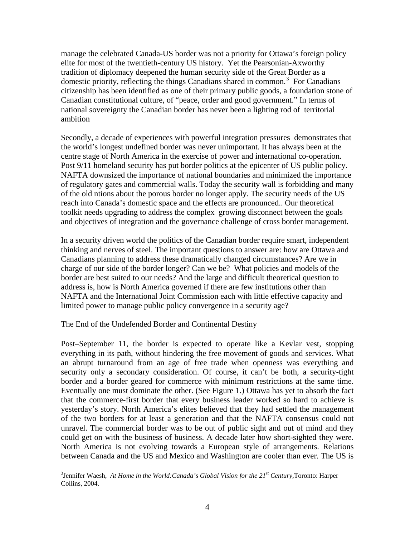manage the celebrated Canada-US border was not a priority for Ottawa's foreign policy elite for most of the twentieth-century US history. Yet the Pearsonian-Axworthy tradition of diplomacy deepened the human security side of the Great Border as a domestic priority, reflecting the things Canadians shared in common.<sup>[3](#page-3-0)</sup> For Canadians citizenship has been identified as one of their primary public goods, a foundation stone of Canadian constitutional culture, of "peace, order and good government." In terms of national sovereignty the Canadian border has never been a lighting rod of territorial ambition

Secondly, a decade of experiences with powerful integration pressures demonstrates that the world's longest undefined border was never unimportant. It has always been at the centre stage of North America in the exercise of power and international co-operation. Post 9/11 homeland security has put border politics at the epicenter of US public policy. NAFTA downsized the importance of national boundaries and minimized the importance of regulatory gates and commercial walls. Today the security wall is forbidding and many of the old ntions about the porous border no longer apply. The security needs of the US reach into Canada's domestic space and the effects are pronounced.. Our theoretical toolkit needs upgrading to address the complex growing disconnect between the goals and objectives of integration and the governance challenge of cross border management.

In a security driven world the politics of the Canadian border require smart, independent thinking and nerves of steel. The important questions to answer are: how are Ottawa and Canadians planning to address these dramatically changed circumstances? Are we in charge of our side of the border longer? Can we be? What policies and models of the border are best suited to our needs? And the large and difficult theoretical question to address is, how is North America governed if there are few institutions other than NAFTA and the International Joint Commission each with little effective capacity and limited power to manage public policy convergence in a security age?

The End of the Undefended Border and Continental Destiny

 $\overline{a}$ 

Post–September 11, the border is expected to operate like a Kevlar vest, stopping everything in its path, without hindering the free movement of goods and services. What an abrupt turnaround from an age of free trade when openness was everything and security only a secondary consideration. Of course, it can't be both, a security-tight border and a border geared for commerce with minimum restrictions at the same time. Eventually one must dominate the other. (See Figure 1.) Ottawa has yet to absorb the fact that the commerce-first border that every business leader worked so hard to achieve is yesterday's story. North America's elites believed that they had settled the management of the two borders for at least a generation and that the NAFTA consensus could not unravel. The commercial border was to be out of public sight and out of mind and they could get on with the business of business. A decade later how short-sighted they were. North America is not evolving towards a European style of arrangements. Relations between Canada and the US and Mexico and Washington are cooler than ever. The US is

<span id="page-3-0"></span><sup>&</sup>lt;sup>3</sup> Jennifer Waesh, *At Home in the World: Canada's Global Vision for the 21<sup>st</sup> Century, Toronto: Harper* Collins, 2004.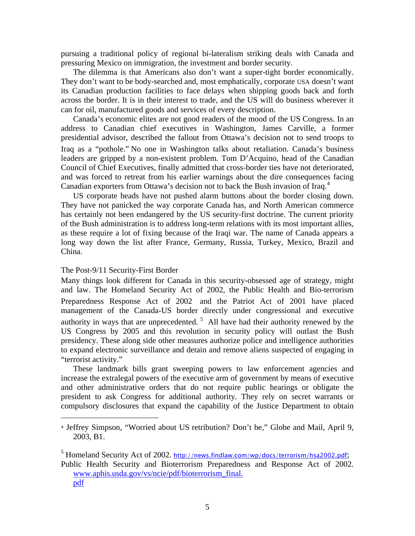pursuing a traditional policy of regional bi-lateralism striking deals with Canada and pressuring Mexico on immigration, the investment and border security.

 The dilemma is that Americans also don't want a super-tight border economically. They don't want to be body-searched and, most emphatically, corporate USA doesn't want its Canadian production facilities to face delays when shipping goods back and forth across the border. It is in their interest to trade, and the US will do business wherever it can for oil, manufactured goods and services of every description.

 Canada's economic elites are not good readers of the mood of the US Congress. In an address to Canadian chief executives in Washington, James Carville, a former presidential advisor, described the fallout from Ottawa's decision not to send troops to Iraq as a "pothole." No one in Washington talks about retaliation. Canada's business leaders are gripped by a non-existent problem. Tom D'Acquino, head of the Canadian Council of Chief Executives, finally admitted that cross-border ties have not deteriorated, and was forced to retreat from his earlier warnings about the dire consequences facing Canadian exporters from Ottawa's decision not to back the Bush invasion of Iraq.<sup>[4](#page-4-0)</sup>

 US corporate heads have not pushed alarm buttons about the border closing down. They have not panicked the way corporate Canada has, and North American commerce has certainly not been endangered by the US security-first doctrine. The current priority of the Bush administration is to address long-term relations with its most important allies, as these require a lot of fixing because of the Iraqi war. The name of Canada appears a long way down the list after France, Germany, Russia, Turkey, Mexico, Brazil and China.

## The Post-9/11 Security-First Border

 $\overline{a}$ 

Many things look different for Canada in this security-obsessed age of strategy, might and law. The Homeland Security Act of 2002, the Public Health and Bio-terrorism Preparedness Response Act of 2002 and the Patriot Act of 2001 have placed management of the Canada-US border directly under congressional and executive authority in ways that are unprecedented.<sup>[5](#page-4-1)</sup> All have had their authority renewed by the US Congress by 2005 and this revolution in security policy will outlast the Bush presidency. These along side other measures authorize police and intelligence authorities to expand electronic surveillance and detain and remove aliens suspected of engaging in "terrorist activity."

 These landmark bills grant sweeping powers to law enforcement agencies and increase the extralegal powers of the executive arm of government by means of executive and other administrative orders that do not require public hearings or obligate the president to ask Congress for additional authority. They rely on secret warrants or compulsory disclosures that expand the capability of the Justice Department to obtain

<span id="page-4-1"></span><sup>5</sup> Homeland Security Act of 2002. <http://news.findlaw.com/wp/docs/terrorism/hsa2002.pdf>; Public Health Security and Bioterrorism Preparedness and Response Act of 2002. [www.aphis.usda.gov/vs/ncie/pdf/bioterrorism\\_final.](http://www.aphis.usda.gov/vs/ncie/pdf/bioterrorism_final.%0Bpdf) [pdf](http://www.aphis.usda.gov/vs/ncie/pdf/bioterrorism_final.%0Bpdf) 

<span id="page-4-0"></span><sup>4</sup> Jeffrey Simpson, "Worried about US retribution? Don't be," Globe and Mail, April 9, 2003, B1.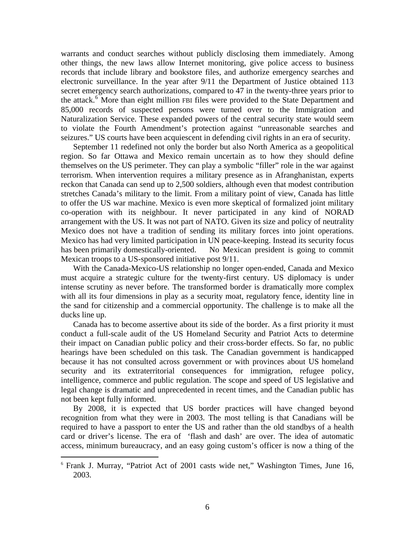warrants and conduct searches without publicly disclosing them immediately. Among other things, the new laws allow Internet monitoring, give police access to business records that include library and bookstore files, and authorize emergency searches and electronic surveillance. In the year after 9/11 the Department of Justice obtained 113 secret emergency search authorizations, compared to 47 in the twenty-three years prior to the attack.<sup>[6](#page-5-0)</sup> More than eight million FBI files were provided to the State Department and 85,000 records of suspected persons were turned over to the Immigration and Naturalization Service. These expanded powers of the central security state would seem to violate the Fourth Amendment's protection against "unreasonable searches and seizures." US courts have been acquiescent in defending civil rights in an era of security.

 September 11 redefined not only the border but also North America as a geopolitical region. So far Ottawa and Mexico remain uncertain as to how they should define themselves on the US perimeter. They can play a symbolic "filler" role in the war against terrorism. When intervention requires a military presence as in Afranghanistan, experts reckon that Canada can send up to 2,500 soldiers, although even that modest contribution stretches Canada's military to the limit. From a military point of view, Canada has little to offer the US war machine. Mexico is even more skeptical of formalized joint military co-operation with its neighbour. It never participated in any kind of NORAD arrangement with the US. It was not part of NATO. Given its size and policy of neutrality Mexico does not have a tradition of sending its military forces into joint operations. Mexico has had very limited participation in UN peace-keeping. Instead its security focus has been primarily domestically-oriented. No Mexican president is going to commit Mexican troops to a US-sponsored initiative post 9/11.

 With the Canada-Mexico-US relationship no longer open-ended, Canada and Mexico must acquire a strategic culture for the twenty-first century. US diplomacy is under intense scrutiny as never before. The transformed border is dramatically more complex with all its four dimensions in play as a security moat, regulatory fence, identity line in the sand for citizenship and a commercial opportunity. The challenge is to make all the ducks line up.

 Canada has to become assertive about its side of the border. As a first priority it must conduct a full-scale audit of the US Homeland Security and Patriot Acts to determine their impact on Canadian public policy and their cross-border effects. So far, no public hearings have been scheduled on this task. The Canadian government is handicapped because it has not consulted across government or with provinces about US homeland security and its extraterritorial consequences for immigration, refugee policy, intelligence, commerce and public regulation. The scope and speed of US legislative and legal change is dramatic and unprecedented in recent times, and the Canadian public has not been kept fully informed.

 By 2008, it is expected that US border practices will have changed beyond recognition from what they were in 2003. The most telling is that Canadians will be required to have a passport to enter the US and rather than the old standbys of a health card or driver's license. The era of 'flash and dash' are over. The idea of automatic access, minimum bureaucracy, and an easy going custom's officer is now a thing of the

 $\overline{a}$ 

<span id="page-5-0"></span><sup>6</sup> Frank J. Murray, "Patriot Act of 2001 casts wide net," Washington Times, June 16, 2003.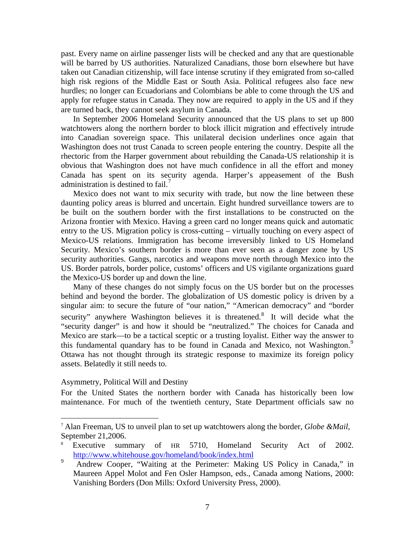past. Every name on airline passenger lists will be checked and any that are questionable will be barred by US authorities. Naturalized Canadians, those born elsewhere but have taken out Canadian citizenship, will face intense scrutiny if they emigrated from so-called high risk regions of the Middle East or South Asia. Political refugees also face new hurdles; no longer can Ecuadorians and Colombians be able to come through the US and apply for refugee status in Canada. They now are required to apply in the US and if they are turned back, they cannot seek asylum in Canada.

 In September 2006 Homeland Security announced that the US plans to set up 800 watchtowers along the northern border to block illicit migration and effectively intrude into Canadian sovereign space. This unilateral decision underlines once again that Washington does not trust Canada to screen people entering the country. Despite all the rhectoric from the Harper government about rebuilding the Canada-US relationship it is obvious that Washington does not have much confidence in all the effort and money Canada has spent on its security agenda. Harper's appeasement of the Bush administration is destined to fail.<sup>[7](#page-6-0)</sup>

 Mexico does not want to mix security with trade, but now the line between these daunting policy areas is blurred and uncertain. Eight hundred surveillance towers are to be built on the southern border with the first installations to be constructed on the Arizona frontier with Mexico. Having a green card no longer means quick and automatic entry to the US. Migration policy is cross-cutting – virtually touching on every aspect of Mexico-US relations. Immigration has become irreversibly linked to US Homeland Security. Mexico's southern border is more than ever seen as a danger zone by US security authorities. Gangs, narcotics and weapons move north through Mexico into the US. Border patrols, border police, customs' officers and US vigilante organizations guard the Mexico-US border up and down the line.

 Many of these changes do not simply focus on the US border but on the processes behind and beyond the border. The globalization of US domestic policy is driven by a singular aim: to secure the future of "our nation," "American democracy" and "border security" anywhere Washington believes it is threatened.<sup>[8](#page-6-1)</sup> It will decide what the "security danger" is and how it should be "neutralized." The choices for Canada and Mexico are stark—to be a tactical sceptic or a trusting loyalist. Either way the answer to this fundamental quandary has to be found in Canada and Mexico, not Washington.<sup>[9](#page-6-2)</sup> Ottawa has not thought through its strategic response to maximize its foreign policy assets. Belatedly it still needs to.

#### Asymmetry, Political Will and Destiny

1

For the United States the northern border with Canada has historically been low maintenance. For much of the twentieth century, State Department officials saw no

<span id="page-6-0"></span><sup>7</sup> Alan Freeman, US to unveil plan to set up watchtowers along the border, *Globe &Mail*, September 21,2006.

<span id="page-6-1"></span>Executive summary of HR 5710, Homeland Security Act of 2002. <http://www.whitehouse.gov/homeland/book/index.html>

<span id="page-6-2"></span>Andrew Cooper, "Waiting at the Perimeter: Making US Policy in Canada," in Maureen Appel Molot and Fen Osler Hampson, eds., Canada among Nations, 2000: Vanishing Borders (Don Mills: Oxford University Press, 2000).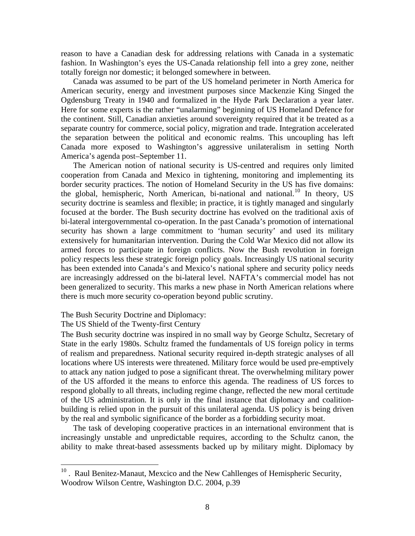reason to have a Canadian desk for addressing relations with Canada in a systematic fashion. In Washington's eyes the US-Canada relationship fell into a grey zone, neither totally foreign nor domestic; it belonged somewhere in between.

 Canada was assumed to be part of the US homeland perimeter in North America for American security, energy and investment purposes since Mackenzie King Singed the Ogdensburg Treaty in 1940 and formalized in the Hyde Park Declaration a year later. Here for some experts is the rather "unalarming" beginning of US Homeland Defence for the continent. Still, Canadian anxieties around sovereignty required that it be treated as a separate country for commerce, social policy, migration and trade. Integration accelerated the separation between the political and economic realms. This uncoupling has left Canada more exposed to Washington's aggressive unilateralism in setting North America's agenda post–September 11.

 The American notion of national security is US-centred and requires only limited cooperation from Canada and Mexico in tightening, monitoring and implementing its border security practices. The notion of Homeland Security in the US has five domains: the global, hemispheric, North American, bi-national and national.[10](#page-7-0) In theory, US security doctrine is seamless and flexible; in practice, it is tightly managed and singularly focused at the border. The Bush security doctrine has evolved on the traditional axis of bi-lateral intergovernmental co-operation. In the past Canada's promotion of international security has shown a large commitment to 'human security' and used its military extensively for humanitarian intervention. During the Cold War Mexico did not allow its armed forces to participate in foreign conflicts. Now the Bush revolution in foreign policy respects less these strategic foreign policy goals. Increasingly US national security has been extended into Canada's and Mexico's national sphere and security policy needs are increasingly addressed on the bi-lateral level. NAFTA's commercial model has not been generalized to security. This marks a new phase in North American relations where there is much more security co-operation beyond public scrutiny.

## The Bush Security Doctrine and Diplomacy:

## The US Shield of the Twenty-first Century

 $\overline{a}$ 

The Bush security doctrine was inspired in no small way by George Schultz, Secretary of State in the early 1980s. Schultz framed the fundamentals of US foreign policy in terms of realism and preparedness. National security required in-depth strategic analyses of all locations where US interests were threatened. Military force would be used pre-emptively to attack any nation judged to pose a significant threat. The overwhelming military power of the US afforded it the means to enforce this agenda. The readiness of US forces to respond globally to all threats, including regime change, reflected the new moral certitude of the US administration. It is only in the final instance that diplomacy and coalitionbuilding is relied upon in the pursuit of this unilateral agenda. US policy is being driven by the real and symbolic significance of the border as a forbidding security moat.

 The task of developing cooperative practices in an international environment that is increasingly unstable and unpredictable requires, according to the Schultz canon, the ability to make threat-based assessments backed up by military might. Diplomacy by

<span id="page-7-0"></span> $10$ . Raul Benitez-Manaut, Mexcico and the New Cahllenges of Hemispheric Security, Woodrow Wilson Centre, Washington D.C. 2004, p.39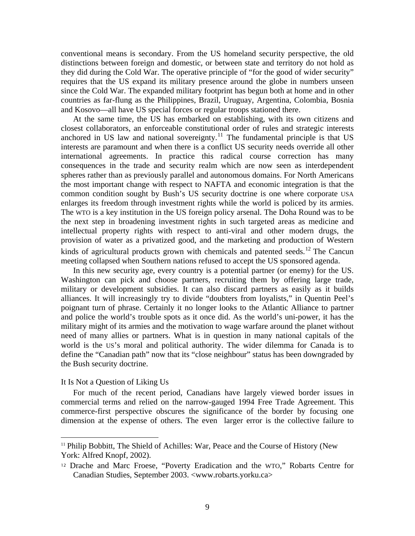conventional means is secondary. From the US homeland security perspective, the old distinctions between foreign and domestic, or between state and territory do not hold as they did during the Cold War. The operative principle of "for the good of wider security" requires that the US expand its military presence around the globe in numbers unseen since the Cold War. The expanded military footprint has begun both at home and in other countries as far-flung as the Philippines, Brazil, Uruguay, Argentina, Colombia, Bosnia and Kosovo—all have US special forces or regular troops stationed there.

 At the same time, the US has embarked on establishing, with its own citizens and closest collaborators, an enforceable constitutional order of rules and strategic interests anchored in US law and national sovereignty.<sup>[11](#page-8-0)</sup> The fundamental principle is that US interests are paramount and when there is a conflict US security needs override all other international agreements. In practice this radical course correction has many consequences in the trade and security realm which are now seen as interdependent spheres rather than as previously parallel and autonomous domains. For North Americans the most important change with respect to NAFTA and economic integration is that the common condition sought by Bush's US security doctrine is one where corporate USA enlarges its freedom through investment rights while the world is policed by its armies. The WTO is a key institution in the US foreign policy arsenal. The Doha Round was to be the next step in broadening investment rights in such targeted areas as medicine and intellectual property rights with respect to anti-viral and other modern drugs, the provision of water as a privatized good, and the marketing and production of Western kinds of agricultural products grown with chemicals and patented seeds.<sup>[12](#page-8-1)</sup> The Cancun meeting collapsed when Southern nations refused to accept the US sponsored agenda.

 In this new security age, every country is a potential partner (or enemy) for the US. Washington can pick and choose partners, recruiting them by offering large trade, military or development subsidies. It can also discard partners as easily as it builds alliances. It will increasingly try to divide "doubters from loyalists," in Quentin Peel's poignant turn of phrase. Certainly it no longer looks to the Atlantic Alliance to partner and police the world's trouble spots as it once did. As the world's uni-power, it has the military might of its armies and the motivation to wage warfare around the planet without need of many allies or partners. What is in question in many national capitals of the world is the US's moral and political authority. The wider dilemma for Canada is to define the "Canadian path" now that its "close neighbour" status has been downgraded by the Bush security doctrine.

#### It Is Not a Question of Liking Us

 $\overline{a}$ 

 For much of the recent period, Canadians have largely viewed border issues in commercial terms and relied on the narrow-gauged 1994 Free Trade Agreement. This commerce-first perspective obscures the significance of the border by focusing one dimension at the expense of others. The even larger error is the collective failure to

<span id="page-8-0"></span><sup>&</sup>lt;sup>11</sup> Philip Bobbitt, The Shield of Achilles: War, Peace and the Course of History (New York: Alfred Knopf, 2002).

<span id="page-8-1"></span><sup>12</sup> Drache and Marc Froese, "Poverty Eradication and the WTO," Robarts Centre for Canadian Studies, September 2003. <www.robarts.yorku.ca>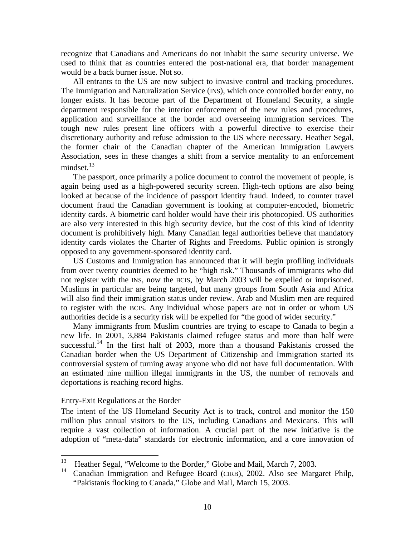recognize that Canadians and Americans do not inhabit the same security universe. We used to think that as countries entered the post-national era, that border management would be a back burner issue. Not so.

 All entrants to the US are now subject to invasive control and tracking procedures. The Immigration and Naturalization Service (INS), which once controlled border entry, no longer exists. It has become part of the Department of Homeland Security, a single department responsible for the interior enforcement of the new rules and procedures, application and surveillance at the border and overseeing immigration services. The tough new rules present line officers with a powerful directive to exercise their discretionary authority and refuse admission to the US where necessary. Heather Segal, the former chair of the Canadian chapter of the American Immigration Lawyers Association, sees in these changes a shift from a service mentality to an enforcement mindset.<sup>[13](#page-9-0)</sup>

 The passport, once primarily a police document to control the movement of people, is again being used as a high-powered security screen. High-tech options are also being looked at because of the incidence of passport identity fraud. Indeed, to counter travel document fraud the Canadian government is looking at computer-encoded, biometric identity cards. A biometric card holder would have their iris photocopied. US authorities are also very interested in this high security device, but the cost of this kind of identity document is prohibitively high. Many Canadian legal authorities believe that mandatory identity cards violates the Charter of Rights and Freedoms. Public opinion is strongly opposed to any government-sponsored identity card.

 US Customs and Immigration has announced that it will begin profiling individuals from over twenty countries deemed to be "high risk." Thousands of immigrants who did not register with the INS, now the BCIS, by March 2003 will be expelled or imprisoned. Muslims in particular are being targeted, but many groups from South Asia and Africa will also find their immigration status under review. Arab and Muslim men are required to register with the BCIS. Any individual whose papers are not in order or whom US authorities decide is a security risk will be expelled for "the good of wider security."

 Many immigrants from Muslim countries are trying to escape to Canada to begin a new life. In 2001, 3,884 Pakistanis claimed refugee status and more than half were successful.<sup>[14](#page-9-1)</sup> In the first half of 2003, more than a thousand Pakistanis crossed the Canadian border when the US Department of Citizenship and Immigration started its controversial system of turning away anyone who did not have full documentation. With an estimated nine million illegal immigrants in the US, the number of removals and deportations is reaching record highs.

#### Entry-Exit Regulations at the Border

The intent of the US Homeland Security Act is to track, control and monitor the 150 million plus annual visitors to the US, including Canadians and Mexicans. This will require a vast collection of information. A crucial part of the new initiative is the adoption of "meta-data" standards for electronic information, and a core innovation of

<span id="page-9-0"></span><sup>13</sup> <sup>13</sup> Heather Segal, "Welcome to the Border," Globe and Mail, March 7, 2003.<br><sup>14</sup> Conadian Immigration and Pafugoe Board (CIPP), 2002, Also see Marg

<span id="page-9-1"></span>Canadian Immigration and Refugee Board (CIRB), 2002. Also see Margaret Philp, "Pakistanis flocking to Canada," Globe and Mail, March 15, 2003.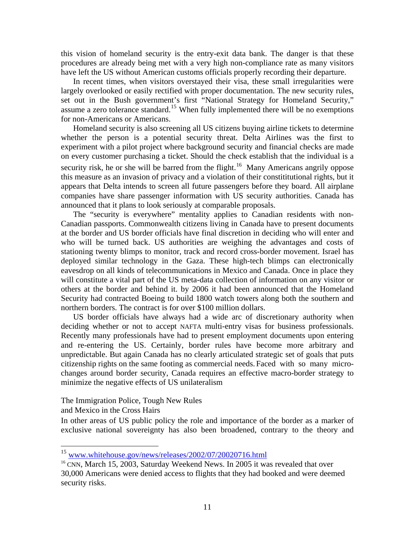this vision of homeland security is the entry-exit data bank. The danger is that these procedures are already being met with a very high non-compliance rate as many visitors have left the US without American customs officials properly recording their departure.

 In recent times, when visitors overstayed their visa, these small irregularities were largely overlooked or easily rectified with proper documentation. The new security rules, set out in the Bush government's first "National Strategy for Homeland Security," assume a zero tolerance standard.<sup>[15](#page-10-0)</sup> When fully implemented there will be no exemptions for non-Americans or Americans.

 Homeland security is also screening all US citizens buying airline tickets to determine whether the person is a potential security threat. Delta Airlines was the first to experiment with a pilot project where background security and financial checks are made on every customer purchasing a ticket. Should the check establish that the individual is a security risk, he or she will be barred from the flight.<sup>[16](#page-10-1)</sup> Many Americans angrily oppose this measure as an invasion of privacy and a violation of their constititutional rights, but it appears that Delta intends to screen all future passengers before they board. All airplane companies have share passenger information with US security authorities. Canada has announced that it plans to look seriously at comparable proposals.

 The "security is everywhere" mentality applies to Canadian residents with non-Canadian passports. Commonwealth citizens living in Canada have to present documents at the border and US border officials have final discretion in deciding who will enter and who will be turned back. US authorities are weighing the advantages and costs of stationing twenty blimps to monitor, track and record cross-border movement. Israel has deployed similar technology in the Gaza. These high-tech blimps can electronically eavesdrop on all kinds of telecommunications in Mexico and Canada. Once in place they will constitute a vital part of the US meta-data collection of information on any visitor or others at the border and behind it. by 2006 it had been announced that the Homeland Security had contracted Boeing to build 1800 watch towers along both the southern and northern borders. The contract is for over \$100 million dollars.

 US border officials have always had a wide arc of discretionary authority when deciding whether or not to accept NAFTA multi-entry visas for business professionals. Recently many professionals have had to present employment documents upon entering and re-entering the US. Certainly, border rules have become more arbitrary and unpredictable. But again Canada has no clearly articulated strategic set of goals that puts citizenship rights on the same footing as commercial needs. Faced with so many microchanges around border security, Canada requires an effective macro-border strategy to minimize the negative effects of US unilateralism

The Immigration Police, Tough New Rules

and Mexico in the Cross Hairs

 $\overline{a}$ 

In other areas of US public policy the role and importance of the border as a marker of exclusive national sovereignty has also been broadened, contrary to the theory and

<span id="page-10-1"></span><span id="page-10-0"></span> $^{15}$  [www.whitehouse.gov/news/releases/2002/07/20020716.html](http://www.whitehouse.gov/news/releases/2002/07/20020716.html)  $^{16}$  CNN, March 15, 2003, Saturday Weekend News. In 2005 it was revealed that over 30,000 Americans were denied access to flights that they had booked and were deemed security risks.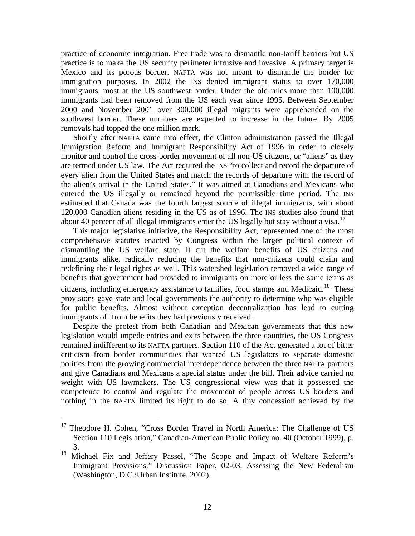practice of economic integration. Free trade was to dismantle non-tariff barriers but US practice is to make the US security perimeter intrusive and invasive. A primary target is Mexico and its porous border. NAFTA was not meant to dismantle the border for immigration purposes. In 2002 the INS denied immigrant status to over 170,000 immigrants, most at the US southwest border. Under the old rules more than 100,000 immigrants had been removed from the US each year since 1995. Between September 2000 and November 2001 over 300,000 illegal migrants were apprehended on the southwest border. These numbers are expected to increase in the future. By 2005 removals had topped the one million mark.

 Shortly after NAFTA came into effect, the Clinton administration passed the Illegal Immigration Reform and Immigrant Responsibility Act of 1996 in order to closely monitor and control the cross-border movement of all non-US citizens, or "aliens" as they are termed under US law. The Act required the INS "to collect and record the departure of every alien from the United States and match the records of departure with the record of the alien's arrival in the United States." It was aimed at Canadians and Mexicans who entered the US illegally or remained beyond the permissible time period. The INS estimated that Canada was the fourth largest source of illegal immigrants, with about 120,000 Canadian aliens residing in the US as of 1996. The INS studies also found that about 40 percent of all illegal immigrants enter the US legally but stay without a visa.<sup>[17](#page-11-0)</sup>

 This major legislative initiative, the Responsibility Act, represented one of the most comprehensive statutes enacted by Congress within the larger political context of dismantling the US welfare state. It cut the welfare benefits of US citizens and immigrants alike, radically reducing the benefits that non-citizens could claim and redefining their legal rights as well. This watershed legislation removed a wide range of benefits that government had provided to immigrants on more or less the same terms as citizens, including emergency assistance to families, food stamps and Medicaid.<sup>[18](#page-11-1)</sup> These provisions gave state and local governments the authority to determine who was eligible for public benefits. Almost without exception decentralization has lead to cutting immigrants off from benefits they had previously received.

 Despite the protest from both Canadian and Mexican governments that this new legislation would impede entries and exits between the three countries, the US Congress remained indifferent to its NAFTA partners. Section 110 of the Act generated a lot of bitter criticism from border communities that wanted US legislators to separate domestic politics from the growing commercial interdependence between the three NAFTA partners and give Canadians and Mexicans a special status under the bill. Their advice carried no weight with US lawmakers. The US congressional view was that it possessed the competence to control and regulate the movement of people across US borders and nothing in the NAFTA limited its right to do so. A tiny concession achieved by the

 $\overline{a}$ 

<span id="page-11-0"></span><sup>&</sup>lt;sup>17</sup> Theodore H. Cohen, "Cross Border Travel in North America: The Challenge of US Section 110 Legislation," Canadian-American Public Policy no. 40 (October 1999), p. 3.

<span id="page-11-1"></span><sup>&</sup>lt;sup>18</sup> Michael Fix and Jeffery Passel, "The Scope and Impact of Welfare Reform's Immigrant Provisions," Discussion Paper, 02-03, Assessing the New Federalism (Washington, D.C.:Urban Institute, 2002).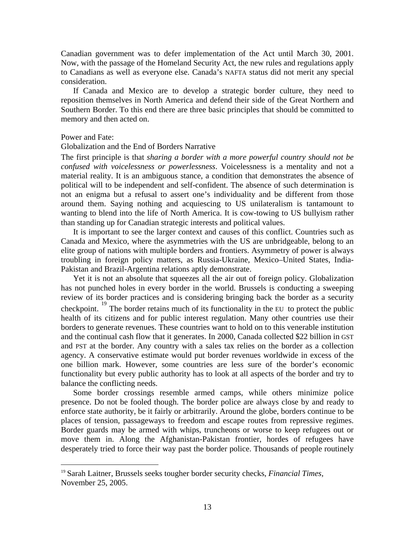Canadian government was to defer implementation of the Act until March 30, 2001. Now, with the passage of the Homeland Security Act, the new rules and regulations apply to Canadians as well as everyone else. Canada's NAFTA status did not merit any special consideration.

 If Canada and Mexico are to develop a strategic border culture, they need to reposition themselves in North America and defend their side of the Great Northern and Southern Border. To this end there are three basic principles that should be committed to memory and then acted on.

#### Power and Fate:

 $\overline{a}$ 

### Globalization and the End of Borders Narrative

The first principle is that *sharing a border with a more powerful country should not be confused with voicelessness or powerlessness*. Voicelessness is a mentality and not a material reality. It is an ambiguous stance, a condition that demonstrates the absence of political will to be independent and self-confident. The absence of such determination is not an enigma but a refusal to assert one's individuality and be different from those around them. Saying nothing and acquiescing to US unilateralism is tantamount to wanting to blend into the life of North America. It is cow-towing to US bullyism rather than standing up for Canadian strategic interests and political values.

 It is important to see the larger context and causes of this conflict. Countries such as Canada and Mexico, where the asymmetries with the US are unbridgeable, belong to an elite group of nations with multiple borders and frontiers. Asymmetry of power is always troubling in foreign policy matters, as Russia-Ukraine, Mexico–United States, India-Pakistan and Brazil-Argentina relations aptly demonstrate.

 Yet it is not an absolute that squeezes all the air out of foreign policy. Globalization has not punched holes in every border in the world. Brussels is conducting a sweeping review of its border practices and is considering bringing back the border as a security checkpoint.<sup>[19](#page-12-0)</sup> The border retains much of its functionality in the EU to protect the public health of its citizens and for public interest regulation. Many other countries use their borders to generate revenues. These countries want to hold on to this venerable institution and the continual cash flow that it generates. In 2000, Canada collected \$22 billion in GST and PST at the border. Any country with a sales tax relies on the border as a collection agency. A conservative estimate would put border revenues worldwide in excess of the one billion mark. However, some countries are less sure of the border's economic functionality but every public authority has to look at all aspects of the border and try to balance the conflicting needs.

 Some border crossings resemble armed camps, while others minimize police presence. Do not be fooled though. The border police are always close by and ready to enforce state authority, be it fairly or arbitrarily. Around the globe, borders continue to be places of tension, passageways to freedom and escape routes from repressive regimes. Border guards may be armed with whips, truncheons or worse to keep refugees out or move them in. Along the Afghanistan-Pakistan frontier, hordes of refugees have desperately tried to force their way past the border police. Thousands of people routinely

<span id="page-12-0"></span><sup>19</sup> Sarah Laitner, Brussels seeks tougher border security checks, *Financial Times,*  November 25, 2005.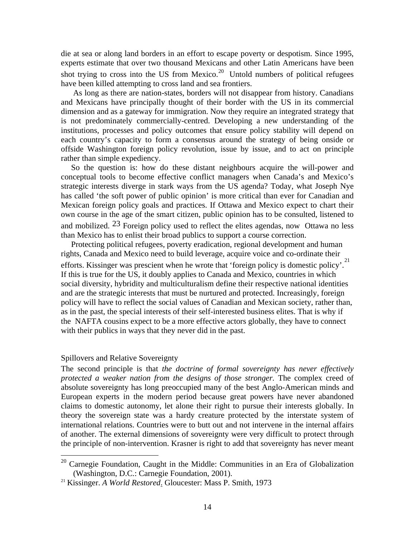die at sea or along land borders in an effort to escape poverty or despotism. Since 1995, experts estimate that over two thousand Mexicans and other Latin Americans have been shot trying to cross into the US from Mexico. $20$  Untold numbers of political refugees have been killed attempting to cross land and sea frontiers.

 As long as there are nation-states, borders will not disappear from history. Canadians and Mexicans have principally thought of their border with the US in its commercial dimension and as a gateway for immigration. Now they require an integrated strategy that is not predominately commercially-centred. Developing a new understanding of the institutions, processes and policy outcomes that ensure policy stability will depend on each country's capacity to form a consensus around the strategy of being onside or offside Washington foreign policy revolution, issue by issue, and to act on principle rather than simple expediency.

 So the question is: how do these distant neighbours acquire the will-power and conceptual tools to become effective conflict managers when Canada's and Mexico's strategic interests diverge in stark ways from the US agenda? Today, what Joseph Nye has called 'the soft power of public opinion' is more critical than ever for Canadian and Mexican foreign policy goals and practices. If Ottawa and Mexico expect to chart their own course in the age of the smart citizen, public opinion has to be consulted, listened to and mobilized.  $23$  Foreign policy used to reflect the elites agendas, now Ottawa no less than Mexico has to enlist their broad publics to support a course correction.

 Protecting political refugees, poverty eradication, regional development and human rights, Canada and Mexico need to build leverage, acquire voice and co-ordinate their efforts. Kissinger was prescient when he wrote that 'foreign policy is domestic policy'.<sup>[21](#page-13-1)</sup> If this is true for the US, it doubly applies to Canada and Mexico, countries in which social diversity, hybridity and multiculturalism define their respective national identities and are the strategic interests that must be nurtured and protected. Increasingly, foreign policy will have to reflect the social values of Canadian and Mexican society, rather than, as in the past, the special interests of their self-interested business elites. That is why if the NAFTA cousins expect to be a more effective actors globally, they have to connect with their publics in ways that they never did in the past.

## Spillovers and Relative Sovereignty

 $\overline{a}$ 

The second principle is that *the doctrine of formal sovereignty has never effectively protected a weaker nation from the designs of those stronger.* The complex creed of absolute sovereignty has long preoccupied many of the best Anglo-American minds and European experts in the modern period because great powers have never abandoned claims to domestic autonomy, let alone their right to pursue their interests globally. In theory the sovereign state was a hardy creature protected by the interstate system of international relations. Countries were to butt out and not intervene in the internal affairs of another. The external dimensions of sovereignty were very difficult to protect through the principle of non-intervention. Krasner is right to add that sovereignty has never meant

<span id="page-13-0"></span> $20$  Carnegie Foundation, Caught in the Middle: Communities in an Era of Globalization (Washington, D.C.: Carnegie Foundation, 2001). 21 Kissinger. *A World Restored*. Gloucester: Mass P. Smith, 1973

<span id="page-13-1"></span>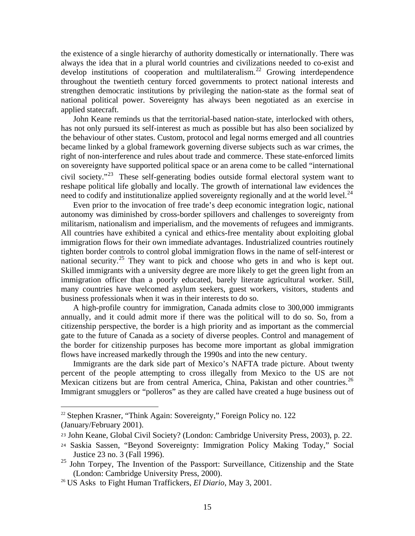the existence of a single hierarchy of authority domestically or internationally. There was always the idea that in a plural world countries and civilizations needed to co-exist and develop institutions of cooperation and multilateralism.<sup>[22](#page-14-0)</sup> Growing interdependence throughout the twentieth century forced governments to protect national interests and strengthen democratic institutions by privileging the nation-state as the formal seat of national political power. Sovereignty has always been negotiated as an exercise in applied statecraft.

 John Keane reminds us that the territorial-based nation-state, interlocked with others, has not only pursued its self-interest as much as possible but has also been socialized by the behaviour of other states. Custom, protocol and legal norms emerged and all countries became linked by a global framework governing diverse subjects such as war crimes, the right of non-interference and rules about trade and commerce. These state-enforced limits on sovereignty have supported political space or an arena come to be called "international civil society."[23](#page-14-1) These self-generating bodies outside formal electoral system want to reshape political life globally and locally. The growth of international law evidences the need to codify and institutionalize applied sovereignty regionally and at the world level. $^{24}$  $^{24}$  $^{24}$ 

 Even prior to the invocation of free trade's deep economic integration logic, national autonomy was diminished by cross-border spillovers and challenges to sovereignty from militarism, nationalism and imperialism, and the movements of refugees and immigrants. All countries have exhibited a cynical and ethics-free mentality about exploiting global immigration flows for their own immediate advantages. Industrialized countries routinely tighten border controls to control global immigration flows in the name of self-interest or national security.<sup>[25](#page-14-3)</sup> They want to pick and choose who gets in and who is kept out. Skilled immigrants with a university degree are more likely to get the green light from an immigration officer than a poorly educated, barely literate agricultural worker. Still, many countries have welcomed asylum seekers, guest workers, visitors, students and business professionals when it was in their interests to do so.

 A high-profile country for immigration, Canada admits close to 300,000 immigrants annually, and it could admit more if there was the political will to do so. So, from a citizenship perspective, the border is a high priority and as important as the commercial gate to the future of Canada as a society of diverse peoples. Control and management of the border for citizenship purposes has become more important as global immigration flows have increased markedly through the 1990s and into the new century.

 Immigrants are the dark side part of Mexico's NAFTA trade picture. About twenty percent of the people attempting to cross illegally from Mexico to the US are not Mexican citizens but are from central America, China, Pakistan and other countries.<sup>[26](#page-14-4)</sup> Immigrant smugglers or "polleros" as they are called have created a huge business out of

1

<span id="page-14-0"></span><sup>&</sup>lt;sup>22</sup> Stephen Krasner, "Think Again: Sovereignty," Foreign Policy no. 122 (January/February 2001).

<span id="page-14-1"></span><sup>23</sup> John Keane, Global Civil Society? (London: Cambridge University Press, 2003), p. 22.

<span id="page-14-2"></span><sup>24</sup> Saskia Sassen, "Beyond Sovereignty: Immigration Policy Making Today," Social Justice 23 no. 3 (Fall 1996).

<span id="page-14-3"></span><sup>&</sup>lt;sup>25</sup> John Torpey, The Invention of the Passport: Surveillance, Citizenship and the State (London: Cambridge University Press, 2000). 26 US Asks to Fight Human Traffickers, *El Diario*, May 3, 2001.

<span id="page-14-4"></span>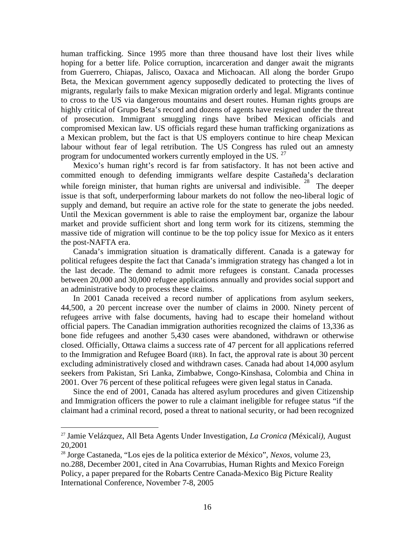human trafficking. Since 1995 more than three thousand have lost their lives while hoping for a better life. Police corruption, incarceration and danger await the migrants from Guerrero, Chiapas, Jalisco, Oaxaca and Michoacan. All along the border Grupo Beta, the Mexican government agency supposedly dedicated to protecting the lives of migrants, regularly fails to make Mexican migration orderly and legal. Migrants continue to cross to the US via dangerous mountains and desert routes. Human rights groups are highly critical of Grupo Beta's record and dozens of agents have resigned under the threat of prosecution. Immigrant smuggling rings have bribed Mexican officials and compromised Mexican law. US officials regard these human trafficking organizations as a Mexican problem, but the fact is that US employers continue to hire cheap Mexican labour without fear of legal retribution. The US Congress has ruled out an amnesty program for undocumented workers currently employed in the US.<sup>[27](#page-15-0)</sup>

 Mexico's human right's record is far from satisfactory. It has not been active and committed enough to defending immigrants welfare despite Castañeda's declaration while foreign minister, that human rights are universal and indivisible. <sup>[28](#page-15-1)</sup> The deeper issue is that soft, underperforming labour markets do not follow the neo-liberal logic of supply and demand, but require an active role for the state to generate the jobs needed. Until the Mexican government is able to raise the employment bar, organize the labour market and provide sufficient short and long term work for its citizens, stemming the massive tide of migration will continue to be the top policy issue for Mexico as it enters the post-NAFTA era.

 Canada's immigration situation is dramatically different. Canada is a gateway for political refugees despite the fact that Canada's immigration strategy has changed a lot in the last decade. The demand to admit more refugees is constant. Canada processes between 20,000 and 30,000 refugee applications annually and provides social support and an administrative body to process these claims.

 In 2001 Canada received a record number of applications from asylum seekers, 44,500, a 20 percent increase over the number of claims in 2000. Ninety percent of refugees arrive with false documents, having had to escape their homeland without official papers. The Canadian immigration authorities recognized the claims of 13,336 as bone fide refugees and another 5,430 cases were abandoned, withdrawn or otherwise closed. Officially, Ottawa claims a success rate of 47 percent for all applications referred to the Immigration and Refugee Board (IRB). In fact, the approval rate is about 30 percent excluding administratively closed and withdrawn cases. Canada had about 14,000 asylum seekers from Pakistan, Sri Lanka, Zimbabwe, Congo-Kinshasa, Colombia and China in 2001. Over 76 percent of these political refugees were given legal status in Canada.

 Since the end of 2001, Canada has altered asylum procedures and given Citizenship and Immigration officers the power to rule a claimant ineligible for refugee status "if the claimant had a criminal record, posed a threat to national security, or had been recognized

 $\overline{a}$ 

<span id="page-15-0"></span><sup>27</sup> Jamie Velázquez, All Beta Agents Under Investigation, *La Cronica (*Méxical*i),* August 20,2001

<span id="page-15-1"></span><sup>28</sup> Jorge Castaneda, "Los ejes de la politica exterior de México", *Nexos,* volume 23, no.288, December 2001, cited in Ana Covarrubias, Human Rights and Mexico Foreign Policy, a paper prepared for the Robarts Centre Canada-Mexico Big Picture Reality International Conference, November 7-8, 2005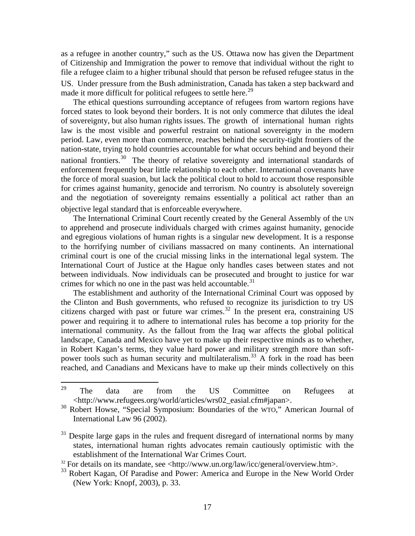as a refugee in another country," such as the US. Ottawa now has given the Department of Citizenship and Immigration the power to remove that individual without the right to file a refugee claim to a higher tribunal should that person be refused refugee status in the US. Under pressure from the Bush administration, Canada has taken a step backward and made it more difficult for political refugees to settle here.<sup>[29](#page-16-0)</sup>

 The ethical questions surrounding acceptance of refugees from wartorn regions have forced states to look beyond their borders. It is not only commerce that dilutes the ideal of sovereignty, but also human rights issues. The growth of international human rights law is the most visible and powerful restraint on national sovereignty in the modern period. Law, even more than commerce, reaches behind the security-tight frontiers of the nation-state, trying to hold countries accountable for what occurs behind and beyond their national frontiers.<sup>[30](#page-16-1)</sup> The theory of relative sovereignty and international standards of enforcement frequently bear little relationship to each other. International covenants have the force of moral suasion, but lack the political clout to hold to account those responsible for crimes against humanity, genocide and terrorism. No country is absolutely sovereign and the negotiation of sovereignty remains essentially a political act rather than an objective legal standard that is enforceable everywhere.

 The International Criminal Court recently created by the General Assembly of the UN to apprehend and prosecute individuals charged with crimes against humanity, genocide and egregious violations of human rights is a singular new development. It is a response to the horrifying number of civilians massacred on many continents. An international criminal court is one of the crucial missing links in the international legal system. The International Court of Justice at the Hague only handles cases between states and not between individuals. Now individuals can be prosecuted and brought to justice for war crimes for which no one in the past was held accountable. $31$ 

 The establishment and authority of the International Criminal Court was opposed by the Clinton and Bush governments, who refused to recognize its jurisdiction to try US citizens charged with past or future war crimes. $32$  In the present era, constraining US power and requiring it to adhere to international rules has become a top priority for the international community. As the fallout from the Iraq war affects the global political landscape, Canada and Mexico have yet to make up their respective minds as to whether, in Robert Kagan's terms, they value hard power and military strength more than soft-power tools such as human security and multilateralism.<sup>[33](#page-16-4)</sup> A fork in the road has been reached, and Canadians and Mexicans have to make up their minds collectively on this

<span id="page-16-0"></span><sup>29</sup>  $29$  The data are from the US Committee on Refugees at <http://www.refugees.org/world/articles/wrs02\_easial.cfm#japan>.

<span id="page-16-1"></span><sup>&</sup>lt;sup>30</sup> Robert Howse, "Special Symposium: Boundaries of the WTO," American Journal of International Law 96 (2002).

<span id="page-16-2"></span> $31$  Despite large gaps in the rules and frequent disregard of international norms by many states, international human rights advocates remain cautiously optimistic with the establishment of the International War Crimes Court.<br><sup>32</sup> For details on its mandate, see <http://www.un.org/law/icc/general/overview.htm>.

<span id="page-16-3"></span>

<span id="page-16-4"></span><sup>&</sup>lt;sup>33</sup> Robert Kagan, Of Paradise and Power: America and Europe in the New World Order (New York: Knopf, 2003), p. 33.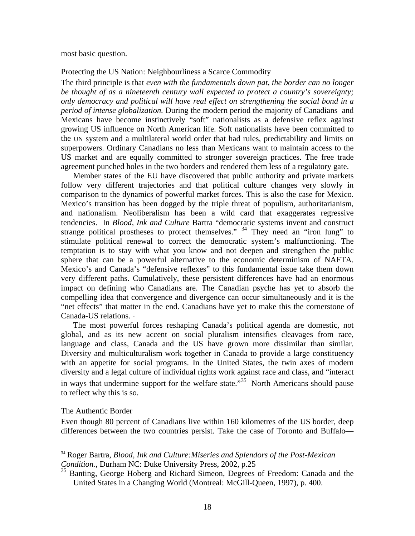most basic question.

### Protecting the US Nation: Neighbourliness a Scarce Commodity

The third principle is that *even with the fundamentals down pat, the border can no longer be thought of as a nineteenth century wall expected to protect a country's sovereignty; only democracy and political will have real effect on strengthening the social bond in a period of intense globalization.* During the modern period the majority of Canadians and Mexicans have become instinctively "soft" nationalists as a defensive reflex against growing US influence on North American life. Soft nationalists have been committed to the UN system and a multilateral world order that had rules, predictability and limits on superpowers. Ordinary Canadians no less than Mexicans want to maintain access to the US market and are equally committed to stronger sovereign practices. The free trade agreement punched holes in the two borders and rendered them less of a regulatory gate.

 Member states of the EU have discovered that public authority and private markets follow very different trajectories and that political culture changes very slowly in comparison to the dynamics of powerful market forces. This is also the case for Mexico. Mexico's transition has been dogged by the triple threat of populism, authoritarianism, and nationalism. Neoliberalism has been a wild card that exaggerates regressive tendencies. In *Blood, Ink and Culture* Bartra "democratic systems invent and construct strange political prostheses to protect themselves."  $34$  They need an "iron lung" to stimulate political renewal to correct the democratic system's malfunctioning. The temptation is to stay with what you know and not deepen and strengthen the public sphere that can be a powerful alternative to the economic determinism of NAFTA. Mexico's and Canada's "defensive reflexes" to this fundamental issue take them down very different paths. Cumulatively, these persistent differences have had an enormous impact on defining who Canadians are. The Canadian psyche has yet to absorb the compelling idea that convergence and divergence can occur simultaneously and it is the "net effects" that matter in the end. Canadians have yet to make this the cornerstone of Canada-US relations.

 The most powerful forces reshaping Canada's political agenda are domestic, not global, and as its new accent on social pluralism intensifies cleavages from race, language and class, Canada and the US have grown more dissimilar than similar. Diversity and multiculturalism work together in Canada to provide a large constituency with an appetite for social programs. In the United States, the twin axes of modern diversity and a legal culture of individual rights work against race and class, and "interact in ways that undermine support for the welfare state."<sup>[35](#page-17-1)</sup> North Americans should pause to reflect why this is so.

### The Authentic Border

 $\overline{a}$ 

Even though 80 percent of Canadians live within 160 kilometres of the US border, deep differences between the two countries persist. Take the case of Toronto and Buffalo—

<span id="page-17-0"></span><sup>34</sup> Roger Bartra, *Blood, Ink and Culture:Miseries and Splendors of the Post-Mexican Condition.*, Durham NC: Duke University Press, 2002, p.25

<span id="page-17-1"></span><sup>&</sup>lt;sup>35</sup> Banting, George Hoberg and Richard Simeon, Degrees of Freedom: Canada and the United States in a Changing World (Montreal: McGill-Queen, 1997), p. 400.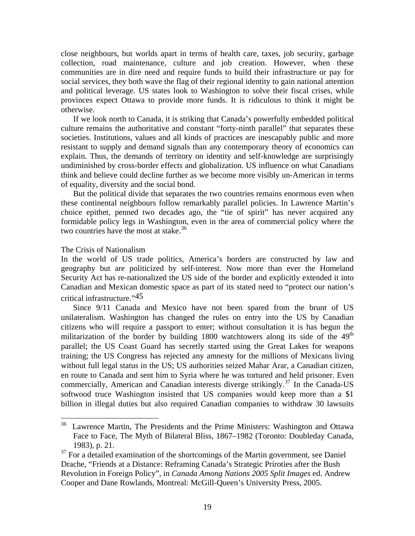close neighbours, but worlds apart in terms of health care, taxes, job security, garbage collection, road maintenance, culture and job creation. However, when these communities are in dire need and require funds to build their infrastructure or pay for social services, they both wave the flag of their regional identity to gain national attention and political leverage. US states look to Washington to solve their fiscal crises, while provinces expect Ottawa to provide more funds. It is ridiculous to think it might be otherwise.

 If we look north to Canada, it is striking that Canada's powerfully embedded political culture remains the authoritative and constant "forty-ninth parallel" that separates these societies. Institutions, values and all kinds of practices are inescapably public and more resistant to supply and demand signals than any contemporary theory of economics can explain. Thus, the demands of territory on identity and self-knowledge are surprisingly undiminished by cross-border effects and globalization. US influence on what Canadians think and believe could decline further as we become more visibly un-American in terms of equality, diversity and the social bond.

 But the political divide that separates the two countries remains enormous even when these continental neighbours follow remarkably parallel policies. In Lawrence Martin's choice epithet, penned two decades ago, the "tie of spirit" has never acquired any formidable policy legs in Washington, even in the area of commercial policy where the two countries have the most at stake. $36$ 

### The Crisis of Nationalism

 $\overline{a}$ 

In the world of US trade politics, America's borders are constructed by law and geography but are politicized by self-interest. Now more than ever the Homeland Security Act has re-nationalized the US side of the border and explicitly extended it into Canadian and Mexican domestic space as part of its stated need to "protect our nation's critical infrastructure."45

 Since 9/11 Canada and Mexico have not been spared from the brunt of US unilateralism. Washington has changed the rules on entry into the US by Canadian citizens who will require a passport to enter; without consultation it is has begun the militarization of the border by building 1800 watchtowers along its side of the  $49<sup>th</sup>$ parallel; the US Coast Guard has secretly started using the Great Lakes for weapons training; the US Congress has rejected any amnesty for the millions of Mexicans living without full legal status in the US; US authorities seized Mahar Arar, a Canadian citizen, en route to Canada and sent him to Syria where he was tortured and held prisoner. Even commercially, American and Canadian interests diverge strikingly.<sup>[37](#page-18-1)</sup> In the Canada-US softwood truce Washington insisted that US companies would keep more than a \$1 billion in illegal duties but also required Canadian companies to withdraw 30 lawsuits

<span id="page-18-0"></span><sup>&</sup>lt;sup>36</sup> Lawrence Martin, The Presidents and the Prime Ministers: Washington and Ottawa Face to Face, The Myth of Bilateral Bliss, 1867–1982 (Toronto: Doubleday Canada, 1983), p. 21.

<span id="page-18-1"></span> $37$  For a detailed examination of the shortcomings of the Martin government, see Daniel Drache, "Friends at a Distance: Reframing Canada's Strategic Priroties after the Bush Revolution in Foreign Policy", in *Canada Among Nations 2005 Split Images* ed. Andrew Cooper and Dane Rowlands, Montreal: McGill-Queen's University Press, 2005.